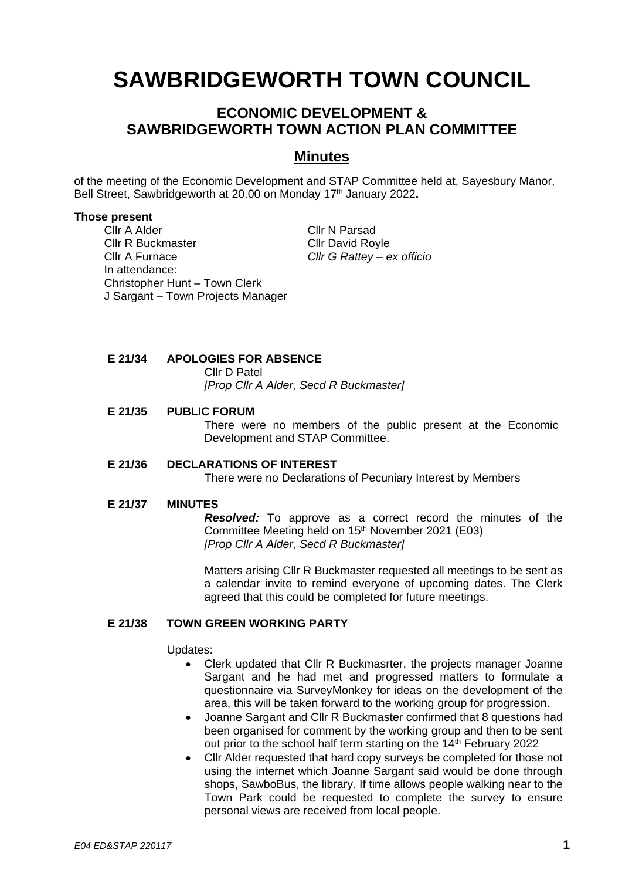# **SAWBRIDGEWORTH TOWN COUNCIL**

# **ECONOMIC DEVELOPMENT & SAWBRIDGEWORTH TOWN ACTION PLAN COMMITTEE**

## **Minutes**

of the meeting of the Economic Development and STAP Committee held at, Sayesbury Manor, Bell Street, Sawbridgeworth at 20.00 on Monday 17 th January 2022**.**

#### **Those present**

Cllr A Alder Cllr N Parsad Cllr R Buckmaster Cllr David Royle Cllr A Furnace *Cllr G Rattey – ex officio* In attendance: Christopher Hunt – Town Clerk J Sargant – Town Projects Manager

**E 21/34 APOLOGIES FOR ABSENCE**

Cllr D Patel

*[Prop Cllr A Alder, Secd R Buckmaster]*

#### **E 21/35 PUBLIC FORUM**

There were no members of the public present at the Economic Development and STAP Committee.

#### **E 21/36 DECLARATIONS OF INTEREST**

There were no Declarations of Pecuniary Interest by Members

#### **E 21/37 MINUTES**

*Resolved:* To approve as a correct record the minutes of the Committee Meeting held on 15th November 2021 (E03) *[Prop Cllr A Alder, Secd R Buckmaster]*

Matters arising Cllr R Buckmaster requested all meetings to be sent as a calendar invite to remind everyone of upcoming dates. The Clerk agreed that this could be completed for future meetings.

#### **E 21/38 TOWN GREEN WORKING PARTY**

Updates:

- Clerk updated that Cllr R Buckmasrter, the projects manager Joanne Sargant and he had met and progressed matters to formulate a questionnaire via SurveyMonkey for ideas on the development of the area, this will be taken forward to the working group for progression.
- Joanne Sargant and Cllr R Buckmaster confirmed that 8 questions had been organised for comment by the working group and then to be sent out prior to the school half term starting on the 14<sup>th</sup> February 2022
- Cllr Alder requested that hard copy surveys be completed for those not using the internet which Joanne Sargant said would be done through shops, SawboBus, the library. If time allows people walking near to the Town Park could be requested to complete the survey to ensure personal views are received from local people.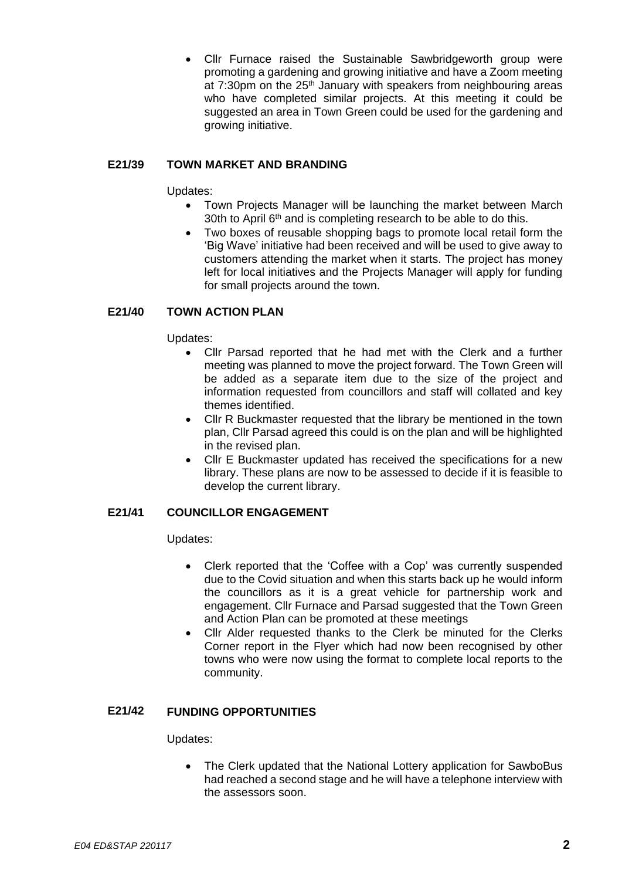• Cllr Furnace raised the Sustainable Sawbridgeworth group were promoting a gardening and growing initiative and have a Zoom meeting at 7:30pm on the 25<sup>th</sup> January with speakers from neighbouring areas who have completed similar projects. At this meeting it could be suggested an area in Town Green could be used for the gardening and growing initiative.

### **E21/39 TOWN MARKET AND BRANDING**

Updates:

- Town Projects Manager will be launching the market between March 30th to April 6<sup>th</sup> and is completing research to be able to do this.
- Two boxes of reusable shopping bags to promote local retail form the 'Big Wave' initiative had been received and will be used to give away to customers attending the market when it starts. The project has money left for local initiatives and the Projects Manager will apply for funding for small projects around the town.

## **E21/40 TOWN ACTION PLAN**

Updates:

- Cllr Parsad reported that he had met with the Clerk and a further meeting was planned to move the project forward. The Town Green will be added as a separate item due to the size of the project and information requested from councillors and staff will collated and key themes identified.
- Cllr R Buckmaster requested that the library be mentioned in the town plan, Cllr Parsad agreed this could is on the plan and will be highlighted in the revised plan.
- Cllr E Buckmaster updated has received the specifications for a new library. These plans are now to be assessed to decide if it is feasible to develop the current library.

#### **E21/41 COUNCILLOR ENGAGEMENT**

Updates:

- Clerk reported that the 'Coffee with a Cop' was currently suspended due to the Covid situation and when this starts back up he would inform the councillors as it is a great vehicle for partnership work and engagement. Cllr Furnace and Parsad suggested that the Town Green and Action Plan can be promoted at these meetings
- Cllr Alder requested thanks to the Clerk be minuted for the Clerks Corner report in the Flyer which had now been recognised by other towns who were now using the format to complete local reports to the community.

#### **E21/42 FUNDING OPPORTUNITIES**

Updates:

• The Clerk updated that the National Lottery application for SawboBus had reached a second stage and he will have a telephone interview with the assessors soon.